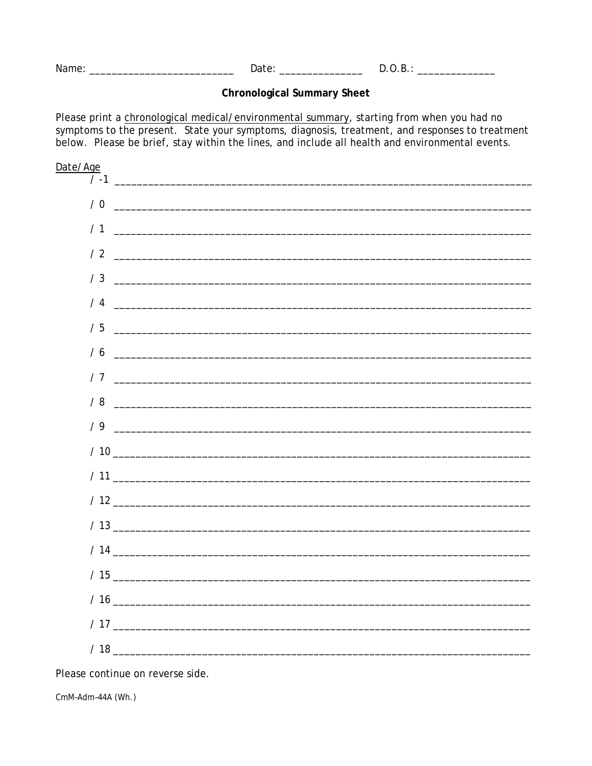Date: and the state of the state of the state of the state of the state of the state of the state of the state of the state of the state of the state of the state of the state of the state of the state of the state of the Name: We have a state of the state of the state of the state of the state of the state of the state of the state of the state of the state of the state of the state of the state of the state of the state of the state of th  $D.O.B.:$ 

## **Chronological Summary Sheet**

Please print a chronological medical/environmental summary, starting from when you had no symptoms to the present. State your symptoms, diagnosis, treatment, and responses to treatment below. Please be brief, stay within the lines, and include all health and environmental events.



Please continue on reverse side.

CmM-Adm-44A (Wh.)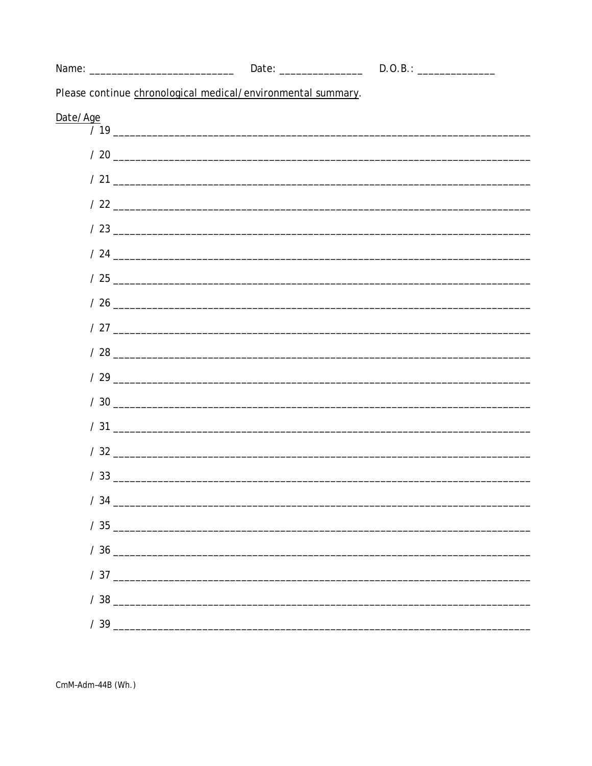| Please continue chronological medical/environmental summary. |                     |  |  |  |
|--------------------------------------------------------------|---------------------|--|--|--|
| Date/Age                                                     |                     |  |  |  |
|                                                              |                     |  |  |  |
|                                                              |                     |  |  |  |
|                                                              |                     |  |  |  |
|                                                              |                     |  |  |  |
|                                                              |                     |  |  |  |
|                                                              |                     |  |  |  |
|                                                              |                     |  |  |  |
|                                                              |                     |  |  |  |
|                                                              |                     |  |  |  |
|                                                              |                     |  |  |  |
|                                                              |                     |  |  |  |
|                                                              | $\frac{1}{20}$ / 30 |  |  |  |
|                                                              |                     |  |  |  |
|                                                              |                     |  |  |  |
|                                                              |                     |  |  |  |
|                                                              |                     |  |  |  |
|                                                              |                     |  |  |  |
|                                                              | $\frac{1}{36}$      |  |  |  |
|                                                              |                     |  |  |  |
|                                                              |                     |  |  |  |
|                                                              |                     |  |  |  |
|                                                              |                     |  |  |  |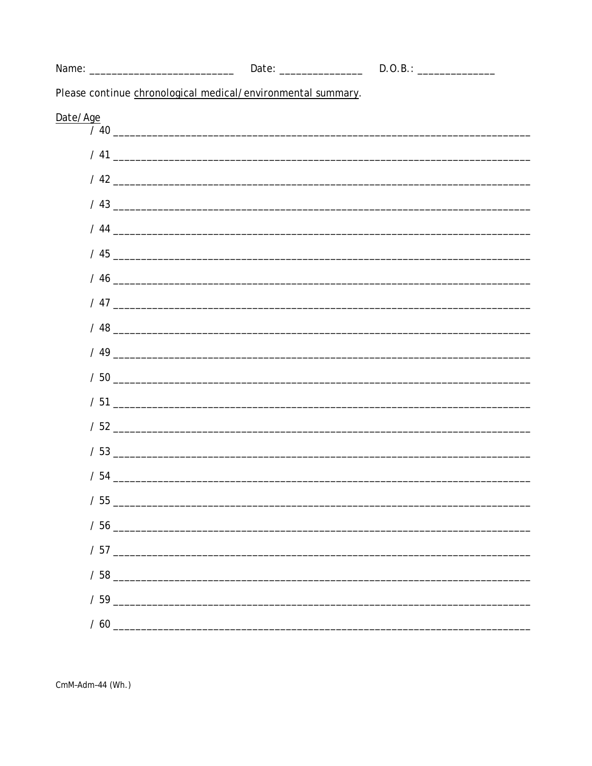| Please continue chronological medical/environmental summary. |                     |  |  |  |
|--------------------------------------------------------------|---------------------|--|--|--|
|                                                              |                     |  |  |  |
|                                                              |                     |  |  |  |
|                                                              |                     |  |  |  |
|                                                              |                     |  |  |  |
|                                                              |                     |  |  |  |
|                                                              |                     |  |  |  |
|                                                              |                     |  |  |  |
|                                                              |                     |  |  |  |
|                                                              |                     |  |  |  |
|                                                              |                     |  |  |  |
|                                                              |                     |  |  |  |
|                                                              | $\frac{1}{20}$ / 50 |  |  |  |
|                                                              |                     |  |  |  |
|                                                              |                     |  |  |  |
|                                                              |                     |  |  |  |
|                                                              |                     |  |  |  |
|                                                              |                     |  |  |  |
|                                                              |                     |  |  |  |
|                                                              |                     |  |  |  |
|                                                              |                     |  |  |  |
|                                                              |                     |  |  |  |
| $\frac{1}{60}$ / 60                                          |                     |  |  |  |
|                                                              |                     |  |  |  |